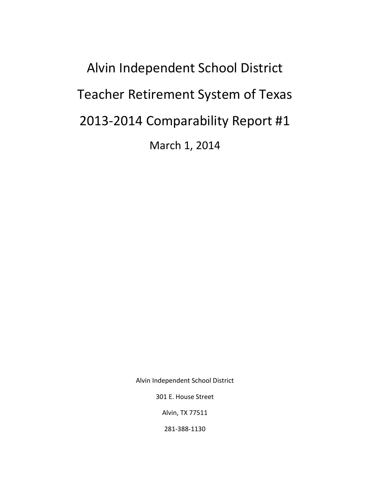Alvin Independent School District Teacher Retirement System of Texas 2013-2014 Comparability Report #1 March 1, 2014

Alvin Independent School District

301 E. House Street

Alvin, TX 77511

281-388-1130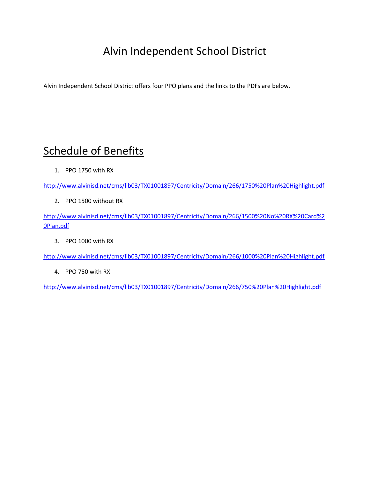## Alvin Independent School District

Alvin Independent School District offers four PPO plans and the links to the PDFs are below.

## Schedule of Benefits

1. PPO 1750 with RX

<http://www.alvinisd.net/cms/lib03/TX01001897/Centricity/Domain/266/1750%20Plan%20Highlight.pdf>

2. PPO 1500 without RX

[http://www.alvinisd.net/cms/lib03/TX01001897/Centricity/Domain/266/1500%20No%20RX%20Card%2](http://www.alvinisd.net/cms/lib03/TX01001897/Centricity/Domain/266/1500%20No%20RX%20Card%20Plan.pdf) [0Plan.pdf](http://www.alvinisd.net/cms/lib03/TX01001897/Centricity/Domain/266/1500%20No%20RX%20Card%20Plan.pdf)

3. PPO 1000 with RX

<http://www.alvinisd.net/cms/lib03/TX01001897/Centricity/Domain/266/1000%20Plan%20Highlight.pdf>

4. PPO 750 with RX

<http://www.alvinisd.net/cms/lib03/TX01001897/Centricity/Domain/266/750%20Plan%20Highlight.pdf>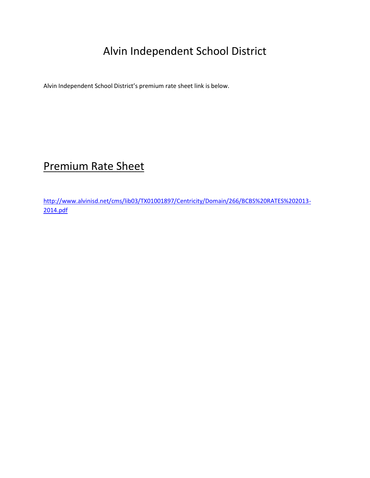# Alvin Independent School District

Alvin Independent School District's premium rate sheet link is below.

## Premium Rate Sheet

[http://www.alvinisd.net/cms/lib03/TX01001897/Centricity/Domain/266/BCBS%20RATES%202013-](http://www.alvinisd.net/cms/lib03/TX01001897/Centricity/Domain/266/BCBS%20RATES%202013-2014.pdf) [2014.pdf](http://www.alvinisd.net/cms/lib03/TX01001897/Centricity/Domain/266/BCBS%20RATES%202013-2014.pdf)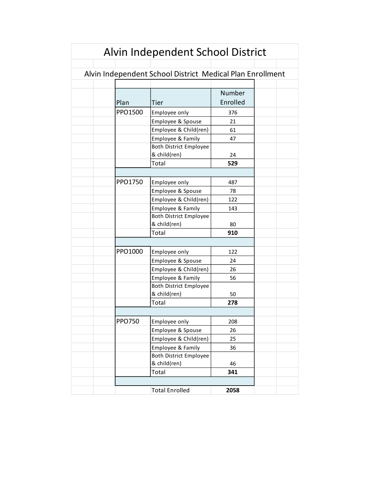| Alvin Independent School District                         |               |                               |          |  |
|-----------------------------------------------------------|---------------|-------------------------------|----------|--|
|                                                           |               |                               |          |  |
| Alvin Independent School District Medical Plan Enrollment |               |                               |          |  |
|                                                           |               |                               |          |  |
|                                                           |               |                               | Number   |  |
|                                                           | Plan          | Tier                          | Enrolled |  |
|                                                           | PPO1500       | Employee only                 | 376      |  |
|                                                           |               | Employee & Spouse             | 21       |  |
|                                                           |               | Employee & Child(ren)         | 61       |  |
|                                                           |               | Employee & Family             | 47       |  |
|                                                           |               | <b>Both District Employee</b> |          |  |
|                                                           |               | & child(ren)                  | 24       |  |
|                                                           |               | Total                         | 529      |  |
|                                                           |               |                               |          |  |
|                                                           | PPO1750       | Employee only                 | 487      |  |
|                                                           |               | Employee & Spouse             | 78       |  |
|                                                           |               | Employee & Child(ren)         | 122      |  |
|                                                           |               | Employee & Family             | 143      |  |
|                                                           |               | <b>Both District Employee</b> |          |  |
|                                                           |               | & child(ren)                  | 80       |  |
|                                                           |               | Total                         | 910      |  |
|                                                           |               |                               |          |  |
|                                                           | PPO1000       | Employee only                 | 122      |  |
|                                                           |               | Employee & Spouse             | 24       |  |
|                                                           |               | Employee & Child(ren)         | 26       |  |
|                                                           |               | Employee & Family             | 56       |  |
|                                                           |               | <b>Both District Employee</b> |          |  |
|                                                           |               | & child(ren)                  | 50       |  |
|                                                           |               | Total                         | 278      |  |
|                                                           |               |                               |          |  |
|                                                           | <b>PPO750</b> | Employee only                 | 208      |  |
|                                                           |               | Employee & Spouse             | 26       |  |
|                                                           |               | Employee & Child(ren)         | 25       |  |
|                                                           |               | Employee & Family             | 36       |  |
|                                                           |               | <b>Both District Employee</b> |          |  |
|                                                           |               | & child(ren)                  | 46       |  |
|                                                           |               | Total                         | 341      |  |
|                                                           |               |                               |          |  |
|                                                           |               | <b>Total Enrolled</b>         | 2058     |  |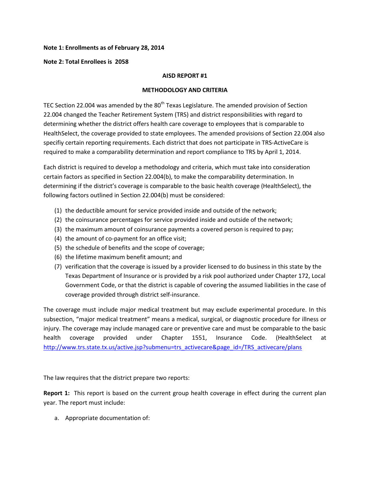#### **Note 1: Enrollments as of February 28, 2014**

#### **Note 2: Total Enrollees is 2058**

#### **AISD REPORT #1**

#### **METHODOLOGY AND CRITERIA**

TEC Section 22.004 was amended by the  $80<sup>th</sup>$  Texas Legislature. The amended provision of Section 22.004 changed the Teacher Retirement System (TRS) and district responsibilities with regard to determining whether the district offers health care coverage to employees that is comparable to HealthSelect, the coverage provided to state employees. The amended provisions of Section 22.004 also specifiy certain reporting requirements. Each district that does not participate in TRS-ActiveCare is required to make a comparability determination and report compliance to TRS by April 1, 2014.

Each district is required to develop a methodology and criteria, which must take into consideration certain factors as specified in Section 22.004(b), to make the comparability determination. In determining if the district's coverage is comparable to the basic health coverage (HealthSelect), the following factors outlined in Section 22.004(b) must be considered:

- (1) the deductible amount for service provided inside and outside of the network;
- (2) the coinsurance percentages for service provided inside and outside of the network;
- (3) the maximum amount of coinsurance payments a covered person is required to pay;
- (4) the amount of co-payment for an office visit;
- (5) the schedule of benefits and the scope of coverage;
- (6) the lifetime maximum benefit amount; and
- (7) verification that the coverage is issued by a provider licensed to do business in this state by the Texas Department of Insurance or is provided by a risk pool authorized under Chapter 172, Local Government Code, or that the district is capable of covering the assumed liabilities in the case of coverage provided through district self-insurance.

The coverage must include major medical treatment but may exclude experimental procedure. In this subsection, "major medical treatment" means a medical, surgical, or diagnostic procedure for illness or injury. The coverage may include managed care or preventive care and must be comparable to the basic health coverage provided under Chapter 1551, Insurance Code. (HealthSelect at [http://www.trs.state.tx.us/active.jsp?submenu=trs\\_activecare&page\\_id=/TRS\\_activecare/plans](http://www.trs.state.tx.us/active.jsp?submenu=trs_activecare&page_id=/TRS_activecare/plans)

The law requires that the district prepare two reports:

**Report 1:** This report is based on the current group health coverage in effect during the current plan year. The report must include:

a. Appropriate documentation of: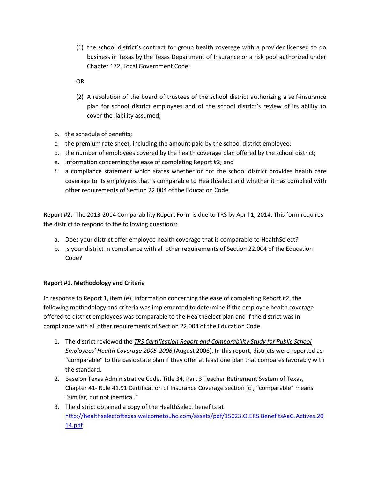- (1) the school district's contract for group health coverage with a provider licensed to do business in Texas by the Texas Department of Insurance or a risk pool authorized under Chapter 172, Local Government Code;
- OR
- (2) A resolution of the board of trustees of the school district authorizing a self-insurance plan for school district employees and of the school district's review of its ability to cover the liability assumed;
- b. the schedule of benefits;
- c. the premium rate sheet, including the amount paid by the school district employee;
- d. the number of employees covered by the health coverage plan offered by the school district;
- e. information concerning the ease of completing Report #2; and
- f. a compliance statement which states whether or not the school district provides health care coverage to its employees that is comparable to HealthSelect and whether it has complied with other requirements of Section 22.004 of the Education Code.

**Report #2.** The 2013-2014 Comparability Report Form is due to TRS by April 1, 2014. This form requires the district to respond to the following questions:

- a. Does your district offer employee health coverage that is comparable to HealthSelect?
- b. Is your district in compliance with all other requirements of Section 22.004 of the Education Code?

### **Report #1. Methodology and Criteria**

In response to Report 1, item (e), information concerning the ease of completing Report #2, the following methodology and criteria was implemented to determine if the employee health coverage offered to district employees was comparable to the HealthSelect plan and if the district was in compliance with all other requirements of Section 22.004 of the Education Code.

- 1. The district reviewed the *TRS Certification Report and Comparability Study for Public School Employees' Health Coverage 2005-2006* (August 2006). In this report, districts were reported as "comparable" to the basic state plan if they offer at least one plan that compares favorably with the standard.
- 2. Base on Texas Administrative Code, Title 34, Part 3 Teacher Retirement System of Texas, Chapter 41- Rule 41.91 Certification of Insurance Coverage section [c], "comparable" means "similar, but not identical."
- 3. The district obtained a copy of the HealthSelect benefits at [http://healthselectoftexas.welcometouhc.com/assets/pdf/15023.O.ERS.BenefitsAaG.Actives.20](http://healthselectoftexas.welcometouhc.com/assets/pdf/15023.O.ERS.BenefitsAaG.Actives.2014.pdf) [14.pdf](http://healthselectoftexas.welcometouhc.com/assets/pdf/15023.O.ERS.BenefitsAaG.Actives.2014.pdf)